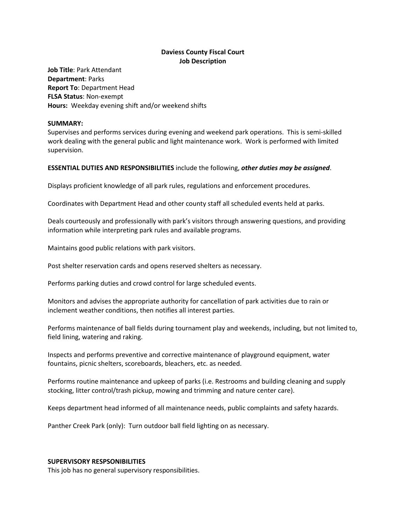# **Daviess County Fiscal Court Job Description**

**Job Title**: Park Attendant **Department**: Parks **Report To**: Department Head **FLSA Status**: Non-exempt **Hours:** Weekday evening shift and/or weekend shifts

#### **SUMMARY:**

Supervises and performs services during evening and weekend park operations. This is semi-skilled work dealing with the general public and light maintenance work. Work is performed with limited supervision.

# **ESSENTIAL DUTIES AND RESPONSIBILITIES** include the following, *other duties may be assigned*.

Displays proficient knowledge of all park rules, regulations and enforcement procedures.

Coordinates with Department Head and other county staff all scheduled events held at parks.

Deals courteously and professionally with park's visitors through answering questions, and providing information while interpreting park rules and available programs.

Maintains good public relations with park visitors.

Post shelter reservation cards and opens reserved shelters as necessary.

Performs parking duties and crowd control for large scheduled events.

Monitors and advises the appropriate authority for cancellation of park activities due to rain or inclement weather conditions, then notifies all interest parties.

Performs maintenance of ball fields during tournament play and weekends, including, but not limited to, field lining, watering and raking.

Inspects and performs preventive and corrective maintenance of playground equipment, water fountains, picnic shelters, scoreboards, bleachers, etc. as needed.

Performs routine maintenance and upkeep of parks (i.e. Restrooms and building cleaning and supply stocking, litter control/trash pickup, mowing and trimming and nature center care).

Keeps department head informed of all maintenance needs, public complaints and safety hazards.

Panther Creek Park (only): Turn outdoor ball field lighting on as necessary.

#### **SUPERVISORY RESPSONIBILITIES**

This job has no general supervisory responsibilities.